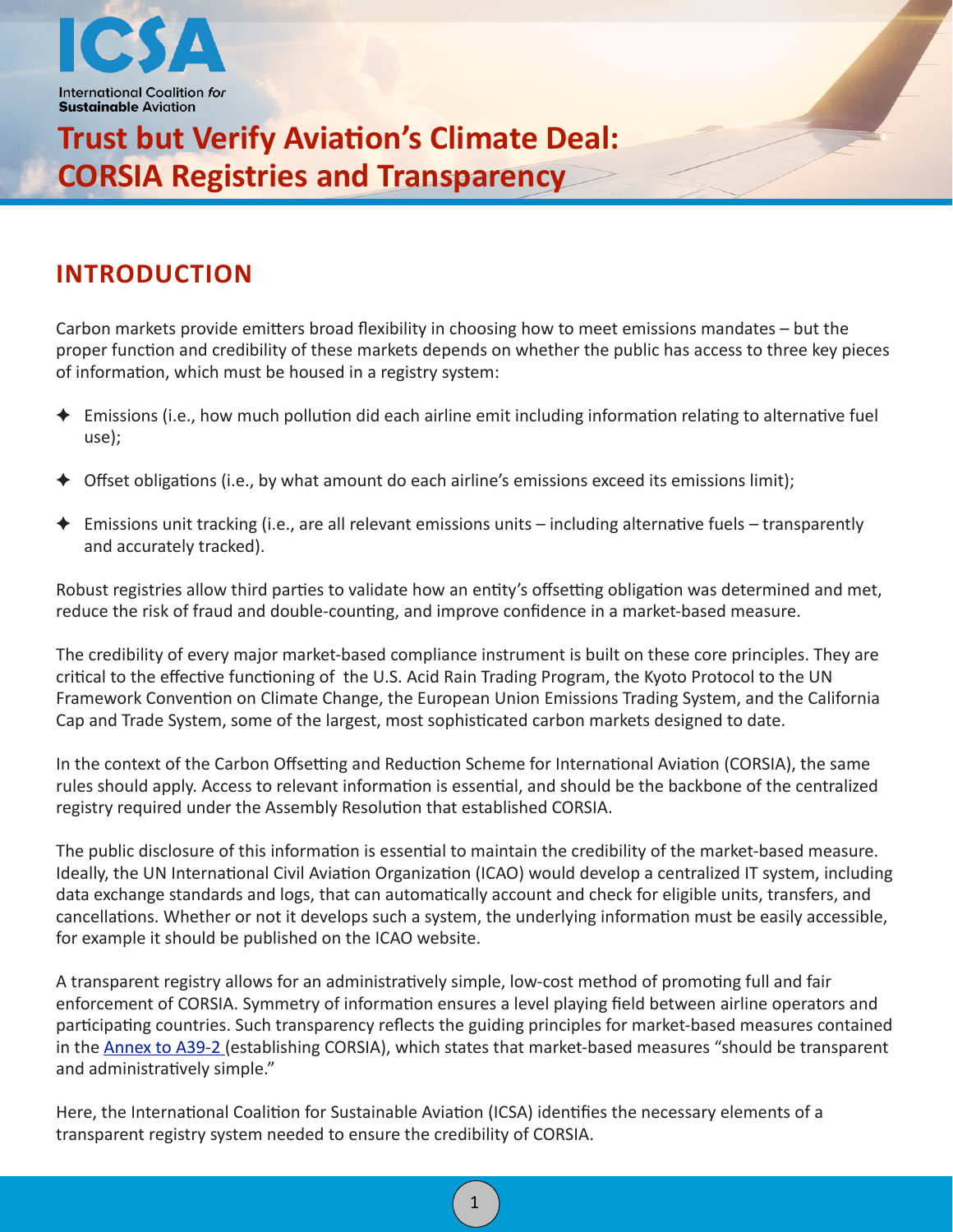

# **Trust but Verify Aviation's Climate Deal: CORSIA Registries and Transparency**

## **INTRODUCTION**

Carbon markets provide emitters broad flexibility in choosing how to meet emissions mandates – but the proper function and credibility of these markets depends on whether the public has access to three key pieces of information, which must be housed in a registry system:

- $\blacklozenge$  Emissions (i.e., how much pollution did each airline emit including information relating to alternative fuel use);
- Offset obligations (i.e., by what amount do each airline's emissions exceed its emissions limit);
- ← Emissions unit tracking (i.e., are all relevant emissions units including alternative fuels transparently and accurately tracked).

Robust registries allow third parties to validate how an entity's offsetting obligation was determined and met, reduce the risk of fraud and double-counting, and improve confidence in a market-based measure.

The credibility of every major market-based compliance instrument is built on these core principles. They are critical to the effective functioning of the U.S. Acid Rain Trading Program, the Kyoto Protocol to the UN Framework Convention on Climate Change, the European Union Emissions Trading System, and the California Cap and Trade System, some of the largest, most sophisticated carbon markets designed to date.

In the context of the Carbon Offsetting and Reduction Scheme for International Aviation (CORSIA), the same rules should apply. Access to relevant information is essential, and should be the backbone of the centralized registry required under the Assembly Resolution that established CORSIA.

The public disclosure of this information is essential to maintain the credibility of the market-based measure. Ideally, the UN International Civil Aviation Organization (ICAO) would develop a centralized IT system, including data exchange standards and logs, that can automatically account and check for eligible units, transfers, and cancellations. Whether or not it develops such a system, the underlying information must be easily accessible, for example it should be published on the ICAO website.

A transparent registry allows for an administratively simple, low-cost method of promoting full and fair enforcement of CORSIA. Symmetry of information ensures a level playing field between airline operators and participating countries. Such transparency reflects the guiding principles for market-based measures contained in the Annex to A39-2 (establishing CORSIA), which states that market-based measures "should be transparent and administratively simple."

1

Here, the International Coalition for Sustainable Aviation (ICSA) identifies the necessary elements of a transparent registry system needed to ensure the credibility of CORSIA.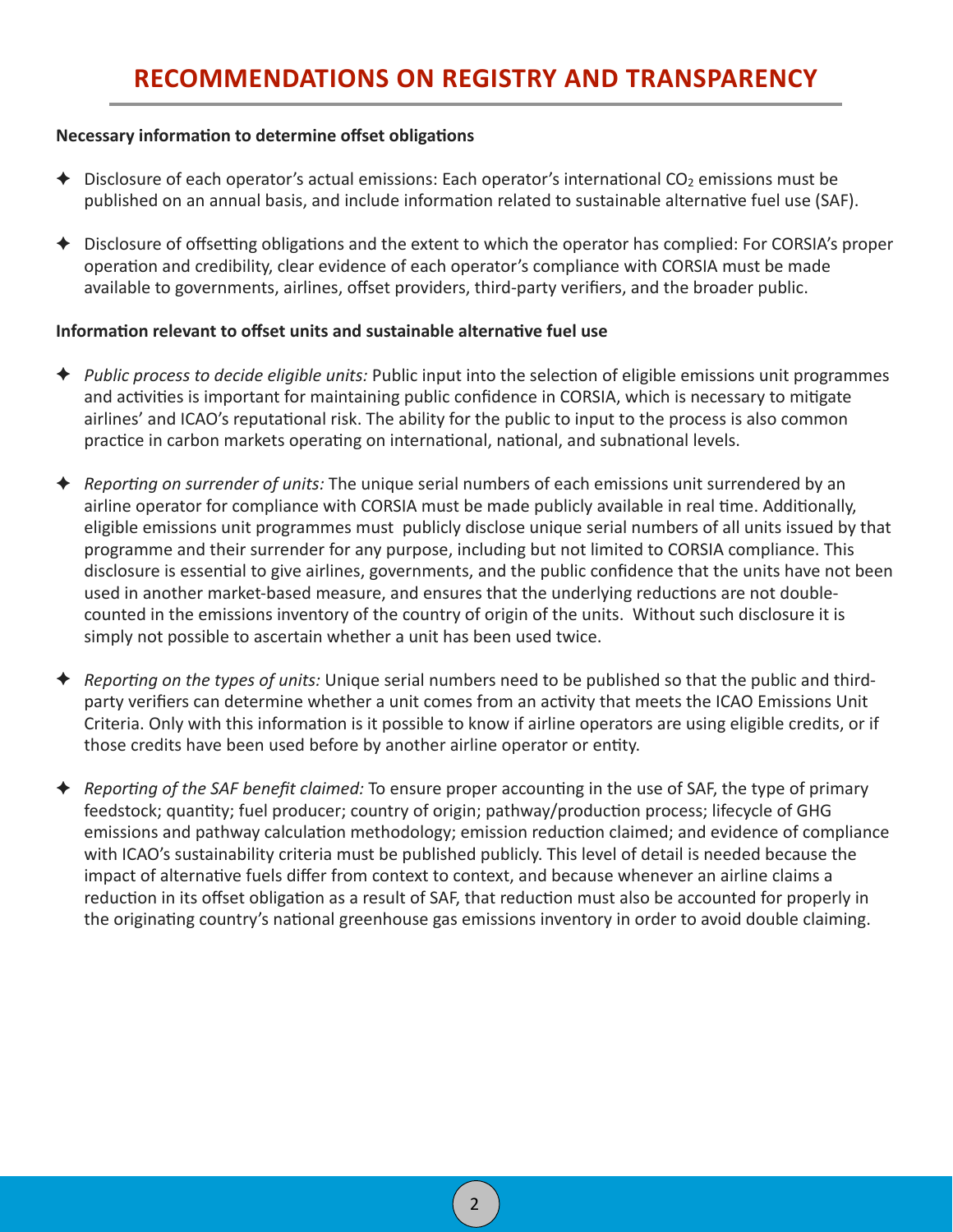#### **Necessary information to determine offset obligations**

- $\blacklozenge$  Disclosure of each operator's actual emissions: Each operator's international CO<sub>2</sub> emissions must be published on an annual basis, and include information related to sustainable alternative fuel use (SAF).
- $\blacklozenge$  Disclosure of offsetting obligations and the extent to which the operator has complied: For CORSIA's proper operation and credibility, clear evidence of each operator's compliance with CORSIA must be made available to governments, airlines, offset providers, third-party verifiers, and the broader public.

#### Information relevant to offset units and sustainable alternative fuel use

- ← *Public process to decide eligible units:* Public input into the selection of eligible emissions unit programmes and activities is important for maintaining public confidence in CORSIA, which is necessary to mitigate airlines' and ICAO's reputational risk. The ability for the public to input to the process is also common practice in carbon markets operating on international, national, and subnational levels.
- $\blacklozenge$  *Reporting on surrender of units:* The unique serial numbers of each emissions unit surrendered by an airline operator for compliance with CORSIA must be made publicly available in real time. Additionally, eligible emissions unit programmes must publicly disclose unique serial numbers of all units issued by that programme and their surrender for any purpose, including but not limited to CORSIA compliance. This disclosure is essential to give airlines, governments, and the public confidence that the units have not been used in another market-based measure, and ensures that the underlying reductions are not doublecounted in the emissions inventory of the country of origin of the units. Without such disclosure it is simply not possible to ascertain whether a unit has been used twice.
- $\triangle$  *Reporting on the types of units:* Unique serial numbers need to be published so that the public and thirdparty verifiers can determine whether a unit comes from an activity that meets the ICAO Emissions Unit Criteria. Only with this information is it possible to know if airline operators are using eligible credits, or if those credits have been used before by another airline operator or entity.
- **←** *Reporting of the SAF benefit claimed:* To ensure proper accounting in the use of SAF, the type of primary feedstock; quantity; fuel producer; country of origin; pathway/production process; lifecycle of GHG emissions and pathway calculation methodology; emission reduction claimed; and evidence of compliance with ICAO's sustainability criteria must be published publicly. This level of detail is needed because the impact of alternative fuels differ from context to context, and because whenever an airline claims a reduction in its offset obligation as a result of SAF, that reduction must also be accounted for properly in the originating country's national greenhouse gas emissions inventory in order to avoid double claiming.